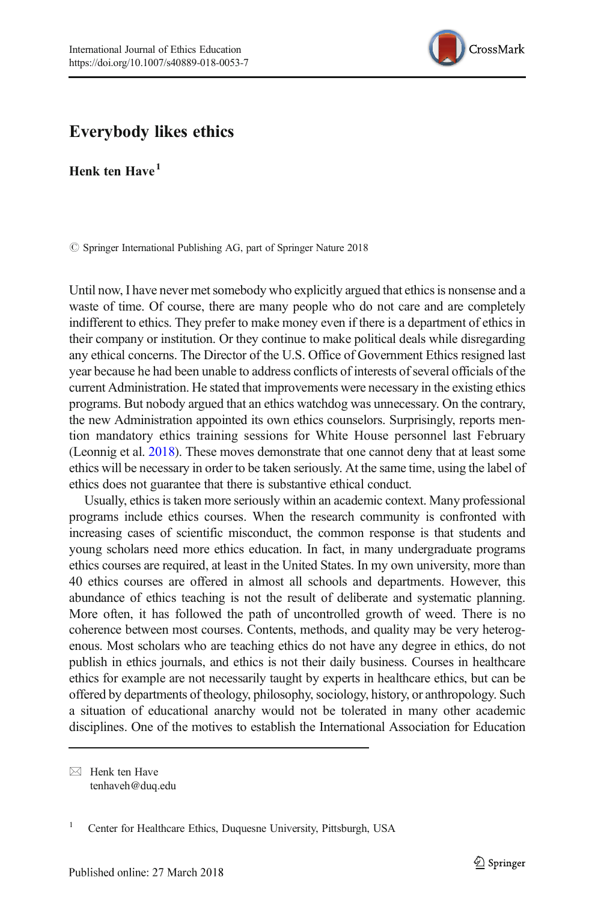

## Everybody likes ethics

Henk ten  $H$ ave $<sup>1</sup>$ </sup>

 $\circled{c}$  Springer International Publishing AG, part of Springer Nature 2018

Until now, I have never met somebody who explicitly argued that ethics is nonsense and a waste of time. Of course, there are many people who do not care and are completely indifferent to ethics. They prefer to make money even if there is a department of ethics in their company or institution. Or they continue to make political deals while disregarding any ethical concerns. The Director of the U.S. Office of Government Ethics resigned last year because he had been unable to address conflicts of interests of several officials of the current Administration. He stated that improvements were necessary in the existing ethics programs. But nobody argued that an ethics watchdog was unnecessary. On the contrary, the new Administration appointed its own ethics counselors. Surprisingly, reports mention mandatory ethics training sessions for White House personnel last February (Leonnig et al. [2018](#page-2-0)). These moves demonstrate that one cannot deny that at least some ethics will be necessary in order to be taken seriously. At the same time, using the label of ethics does not guarantee that there is substantive ethical conduct.

Usually, ethics is taken more seriously within an academic context. Many professional programs include ethics courses. When the research community is confronted with increasing cases of scientific misconduct, the common response is that students and young scholars need more ethics education. In fact, in many undergraduate programs ethics courses are required, at least in the United States. In my own university, more than 40 ethics courses are offered in almost all schools and departments. However, this abundance of ethics teaching is not the result of deliberate and systematic planning. More often, it has followed the path of uncontrolled growth of weed. There is no coherence between most courses. Contents, methods, and quality may be very heterogenous. Most scholars who are teaching ethics do not have any degree in ethics, do not publish in ethics journals, and ethics is not their daily business. Courses in healthcare ethics for example are not necessarily taught by experts in healthcare ethics, but can be offered by departments of theology, philosophy, sociology, history, or anthropology. Such a situation of educational anarchy would not be tolerated in many other academic disciplines. One of the motives to establish the International Association for Education

 $\boxtimes$  Henk ten Have [tenhaveh@duq.edu](mailto:tenhaveh@duq.edu)

<sup>&</sup>lt;sup>1</sup> Center for Healthcare Ethics, Duquesne University, Pittsburgh, USA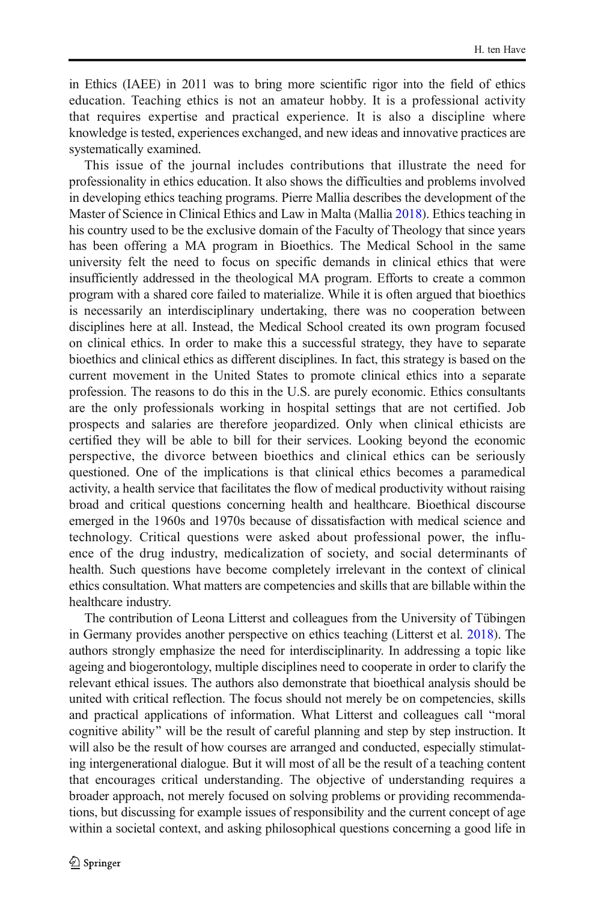in Ethics (IAEE) in 2011 was to bring more scientific rigor into the field of ethics education. Teaching ethics is not an amateur hobby. It is a professional activity that requires expertise and practical experience. It is also a discipline where knowledge is tested, experiences exchanged, and new ideas and innovative practices are systematically examined.

This issue of the journal includes contributions that illustrate the need for professionality in ethics education. It also shows the difficulties and problems involved in developing ethics teaching programs. Pierre Mallia describes the development of the Master of Science in Clinical Ethics and Law in Malta (Mallia [2018\)](#page-2-0). Ethics teaching in his country used to be the exclusive domain of the Faculty of Theology that since years has been offering a MA program in Bioethics. The Medical School in the same university felt the need to focus on specific demands in clinical ethics that were insufficiently addressed in the theological MA program. Efforts to create a common program with a shared core failed to materialize. While it is often argued that bioethics is necessarily an interdisciplinary undertaking, there was no cooperation between disciplines here at all. Instead, the Medical School created its own program focused on clinical ethics. In order to make this a successful strategy, they have to separate bioethics and clinical ethics as different disciplines. In fact, this strategy is based on the current movement in the United States to promote clinical ethics into a separate profession. The reasons to do this in the U.S. are purely economic. Ethics consultants are the only professionals working in hospital settings that are not certified. Job prospects and salaries are therefore jeopardized. Only when clinical ethicists are certified they will be able to bill for their services. Looking beyond the economic perspective, the divorce between bioethics and clinical ethics can be seriously questioned. One of the implications is that clinical ethics becomes a paramedical activity, a health service that facilitates the flow of medical productivity without raising broad and critical questions concerning health and healthcare. Bioethical discourse emerged in the 1960s and 1970s because of dissatisfaction with medical science and technology. Critical questions were asked about professional power, the influence of the drug industry, medicalization of society, and social determinants of health. Such questions have become completely irrelevant in the context of clinical ethics consultation. What matters are competencies and skills that are billable within the healthcare industry.

The contribution of Leona Litterst and colleagues from the University of Tübingen in Germany provides another perspective on ethics teaching (Litterst et al. [2018\)](#page-2-0). The authors strongly emphasize the need for interdisciplinarity. In addressing a topic like ageing and biogerontology, multiple disciplines need to cooperate in order to clarify the relevant ethical issues. The authors also demonstrate that bioethical analysis should be united with critical reflection. The focus should not merely be on competencies, skills and practical applications of information. What Litterst and colleagues call "moral cognitive ability" will be the result of careful planning and step by step instruction. It will also be the result of how courses are arranged and conducted, especially stimulating intergenerational dialogue. But it will most of all be the result of a teaching content that encourages critical understanding. The objective of understanding requires a broader approach, not merely focused on solving problems or providing recommendations, but discussing for example issues of responsibility and the current concept of age within a societal context, and asking philosophical questions concerning a good life in